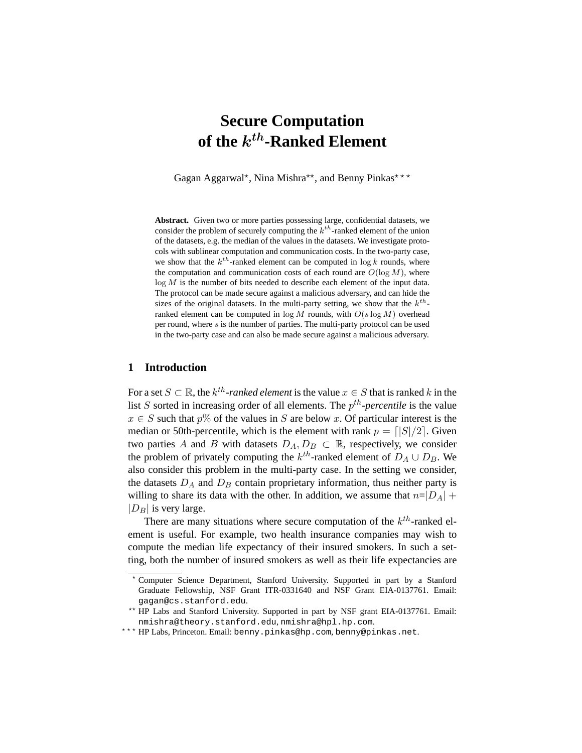# **Secure Computation of the** k th**-Ranked Element**

Gagan Aggarwal\*, Nina Mishra\*\*, and Benny Pinkas\*\*\*

**Abstract.** Given two or more parties possessing large, confidential datasets, we consider the problem of securely computing the  $k^{th}$ -ranked element of the union of the datasets, e.g. the median of the values in the datasets. We investigate protocols with sublinear computation and communication costs. In the two-party case, we show that the  $k^{th}$ -ranked element can be computed in  $\log k$  rounds, where the computation and communication costs of each round are  $O(\log M)$ , where  $log M$  is the number of bits needed to describe each element of the input data. The protocol can be made secure against a malicious adversary, and can hide the sizes of the original datasets. In the multi-party setting, we show that the  $k^{th}$ ranked element can be computed in  $\log M$  rounds, with  $O(s \log M)$  overhead per round, where s is the number of parties. The multi-party protocol can be used in the two-party case and can also be made secure against a malicious adversary.

# **1 Introduction**

For a set  $S \subset \mathbb{R}$ , the  $k^{th}$ -ranked element is the value  $x \in S$  that is ranked k in the list  $S$  sorted in increasing order of all elements. The  $p^{th}$ -percentile is the value  $x \in S$  such that  $p\%$  of the values in S are below x. Of particular interest is the median or 50th-percentile, which is the element with rank  $p = \lfloor |S|/2 \rfloor$ . Given two parties A and B with datasets  $D_A, D_B \subset \mathbb{R}$ , respectively, we consider the problem of privately computing the  $k^{th}$ -ranked element of  $D_A \cup D_B$ . We also consider this problem in the multi-party case. In the setting we consider, the datasets  $D_A$  and  $D_B$  contain proprietary information, thus neither party is willing to share its data with the other. In addition, we assume that  $n=|D_A|$  +  $|D_B|$  is very large.

There are many situations where secure computation of the  $k^{th}$ -ranked element is useful. For example, two health insurance companies may wish to compute the median life expectancy of their insured smokers. In such a setting, both the number of insured smokers as well as their life expectancies are

<sup>?</sup> Computer Science Department, Stanford University. Supported in part by a Stanford Graduate Fellowship, NSF Grant ITR-0331640 and NSF Grant EIA-0137761. Email: gagan@cs.stanford.edu.

<sup>??</sup> HP Labs and Stanford University. Supported in part by NSF grant EIA-0137761. Email: nmishra@theory.stanford.edu, nmishra@hpl.hp.com.

<sup>? ? ?</sup> HP Labs, Princeton. Email: benny.pinkas@hp.com, benny@pinkas.net.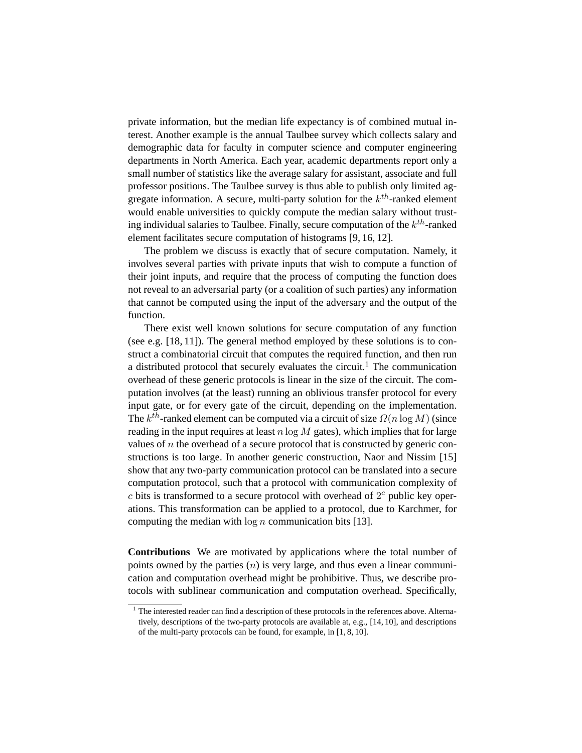private information, but the median life expectancy is of combined mutual interest. Another example is the annual Taulbee survey which collects salary and demographic data for faculty in computer science and computer engineering departments in North America. Each year, academic departments report only a small number of statistics like the average salary for assistant, associate and full professor positions. The Taulbee survey is thus able to publish only limited aggregate information. A secure, multi-party solution for the  $k^{th}$ -ranked element would enable universities to quickly compute the median salary without trusting individual salaries to Taulbee. Finally, secure computation of the  $k^{th}$ -ranked element facilitates secure computation of histograms [9, 16, 12].

The problem we discuss is exactly that of secure computation. Namely, it involves several parties with private inputs that wish to compute a function of their joint inputs, and require that the process of computing the function does not reveal to an adversarial party (or a coalition of such parties) any information that cannot be computed using the input of the adversary and the output of the function.

There exist well known solutions for secure computation of any function (see e.g. [18, 11]). The general method employed by these solutions is to construct a combinatorial circuit that computes the required function, and then run a distributed protocol that securely evaluates the circuit.<sup>1</sup> The communication overhead of these generic protocols is linear in the size of the circuit. The computation involves (at the least) running an oblivious transfer protocol for every input gate, or for every gate of the circuit, depending on the implementation. The  $k^{th}$ -ranked element can be computed via a circuit of size  $\Omega(n \log M)$  (since reading in the input requires at least  $n \log M$  gates), which implies that for large values of  $n$  the overhead of a secure protocol that is constructed by generic constructions is too large. In another generic construction, Naor and Nissim [15] show that any two-party communication protocol can be translated into a secure computation protocol, such that a protocol with communication complexity of  $c$  bits is transformed to a secure protocol with overhead of  $2<sup>c</sup>$  public key operations. This transformation can be applied to a protocol, due to Karchmer, for computing the median with  $\log n$  communication bits [13].

**Contributions** We are motivated by applications where the total number of points owned by the parties  $(n)$  is very large, and thus even a linear communication and computation overhead might be prohibitive. Thus, we describe protocols with sublinear communication and computation overhead. Specifically,

 $1$ . The interested reader can find a description of these protocols in the references above. Alternatively, descriptions of the two-party protocols are available at, e.g., [14, 10], and descriptions of the multi-party protocols can be found, for example, in [1, 8, 10].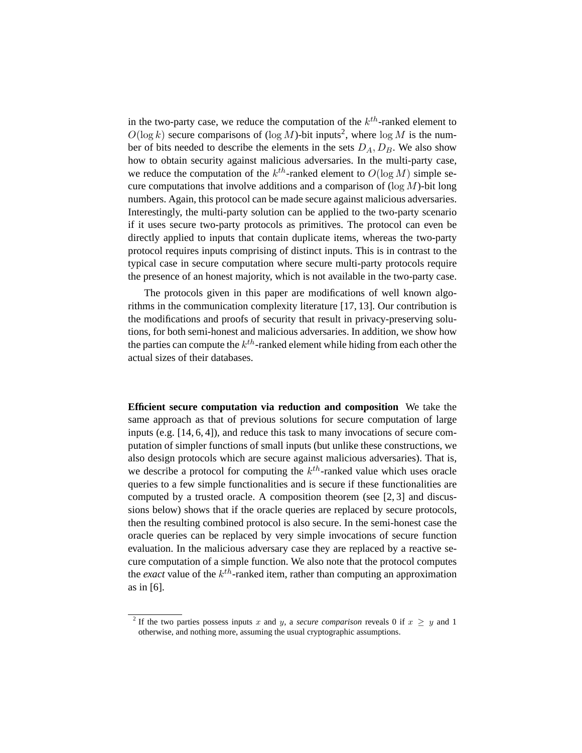in the two-party case, we reduce the computation of the  $k^{th}$ -ranked element to  $O(\log k)$  secure comparisons of  $(\log M)$ -bit inputs<sup>2</sup>, where  $\log M$  is the number of bits needed to describe the elements in the sets  $D_A$ ,  $D_B$ . We also show how to obtain security against malicious adversaries. In the multi-party case, we reduce the computation of the  $k^{th}$ -ranked element to  $O(\log M)$  simple secure computations that involve additions and a comparison of  $(\log M)$ -bit long numbers. Again, this protocol can be made secure against malicious adversaries. Interestingly, the multi-party solution can be applied to the two-party scenario if it uses secure two-party protocols as primitives. The protocol can even be directly applied to inputs that contain duplicate items, whereas the two-party protocol requires inputs comprising of distinct inputs. This is in contrast to the typical case in secure computation where secure multi-party protocols require the presence of an honest majority, which is not available in the two-party case.

The protocols given in this paper are modifications of well known algorithms in the communication complexity literature [17, 13]. Our contribution is the modifications and proofs of security that result in privacy-preserving solutions, for both semi-honest and malicious adversaries. In addition, we show how the parties can compute the  $k^{th}$ -ranked element while hiding from each other the actual sizes of their databases.

**Efficient secure computation via reduction and composition** We take the same approach as that of previous solutions for secure computation of large inputs (e.g. [14, 6, 4]), and reduce this task to many invocations of secure computation of simpler functions of small inputs (but unlike these constructions, we also design protocols which are secure against malicious adversaries). That is, we describe a protocol for computing the  $k^{th}$ -ranked value which uses oracle queries to a few simple functionalities and is secure if these functionalities are computed by a trusted oracle. A composition theorem (see [2, 3] and discussions below) shows that if the oracle queries are replaced by secure protocols, then the resulting combined protocol is also secure. In the semi-honest case the oracle queries can be replaced by very simple invocations of secure function evaluation. In the malicious adversary case they are replaced by a reactive secure computation of a simple function. We also note that the protocol computes the *exact* value of the  $k^{th}$ -ranked item, rather than computing an approximation as in [6].

<sup>&</sup>lt;sup>2</sup> If the two parties possess inputs x and y, a *secure comparison* reveals 0 if  $x \geq y$  and 1 otherwise, and nothing more, assuming the usual cryptographic assumptions.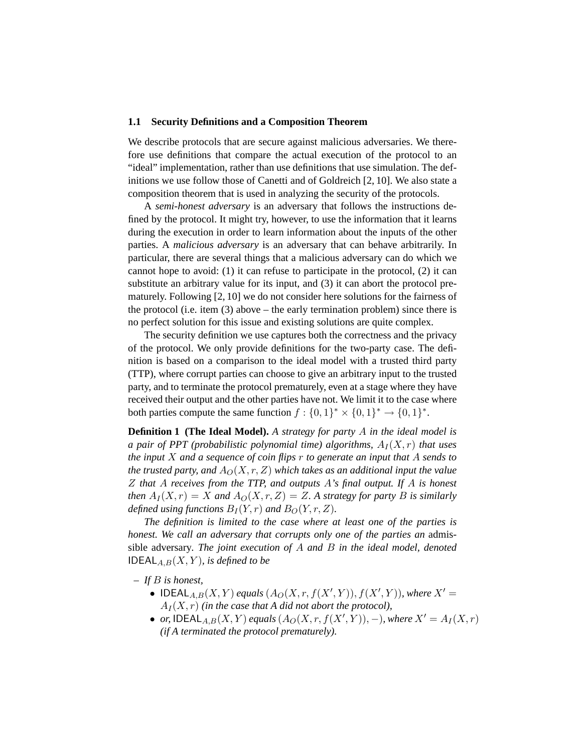#### **1.1 Security Definitions and a Composition Theorem**

We describe protocols that are secure against malicious adversaries. We therefore use definitions that compare the actual execution of the protocol to an "ideal" implementation, rather than use definitions that use simulation. The definitions we use follow those of Canetti and of Goldreich [2, 10]. We also state a composition theorem that is used in analyzing the security of the protocols.

A *semi-honest adversary* is an adversary that follows the instructions defined by the protocol. It might try, however, to use the information that it learns during the execution in order to learn information about the inputs of the other parties. A *malicious adversary* is an adversary that can behave arbitrarily. In particular, there are several things that a malicious adversary can do which we cannot hope to avoid: (1) it can refuse to participate in the protocol, (2) it can substitute an arbitrary value for its input, and (3) it can abort the protocol prematurely. Following [2, 10] we do not consider here solutions for the fairness of the protocol (i.e. item (3) above – the early termination problem) since there is no perfect solution for this issue and existing solutions are quite complex.

The security definition we use captures both the correctness and the privacy of the protocol. We only provide definitions for the two-party case. The definition is based on a comparison to the ideal model with a trusted third party (TTP), where corrupt parties can choose to give an arbitrary input to the trusted party, and to terminate the protocol prematurely, even at a stage where they have received their output and the other parties have not. We limit it to the case where both parties compute the same function  $f: \{0,1\}^* \times \{0,1\}^* \rightarrow \{0,1\}^*$ .

**Definition 1 (The Ideal Model).** *A strategy for party* A *in the ideal model is a pair of PPT (probabilistic polynomial time) algorithms,*  $A_I(X, r)$  *that uses the input* X *and a sequence of coin flips* r *to generate an input that* A *sends to the trusted party, and*  $A_O(X, r, Z)$  *which takes as an additional input the value* Z *that* A *receives from the TTP, and outputs* A*'s final output. If* A *is honest then*  $A_I(X, r) = X$  *and*  $A_O(X, r, Z) = Z$ *. A strategy for party B is similarly defined using functions*  $B_I(Y, r)$  *and*  $B_O(Y, r, Z)$ *.* 

*The definition is limited to the case where at least one of the parties is honest. We call an adversary that corrupts only one of the parties an* admissible adversary*. The joint execution of* A *and* B *in the ideal model, denoted* IDEAL $_{A,B}(X, Y)$ *, is defined to be* 

- *If* B *is honest,*
	- **IDEAL**<sub>A,B</sub> $(X, Y)$  equals  $(A_O(X, r, f(X', Y)), f(X', Y))$ , where  $X' =$  $A_I(X,r)$  *(in the case that A did not abort the protocol),*
	- *or,* IDEAL<sub>A,B</sub> $(X, Y)$  *equals*  $(A_O(X, r, f(X', Y)), -)$ *, where*  $X' = A_I(X, r)$ *(if A terminated the protocol prematurely).*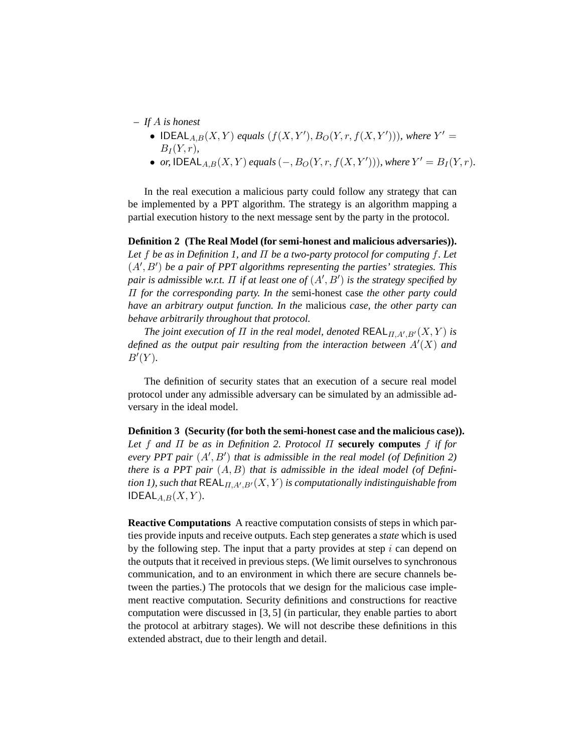- *If* A *is honest*
	- **IDEAL**<sub>A,B</sub> $(X, Y)$  equals  $(f(X, Y'), B_O(Y, r, f(X, Y')))$ *, where*  $Y' =$  $B_I(Y, r)$ ,
	- *or,* IDEAL<sub>A,B</sub> $(X, Y)$  *equals*  $(-, B_O(Y, r, f(X, Y')))$ *, where*  $Y' = B_I(Y, r)$ *.*

In the real execution a malicious party could follow any strategy that can be implemented by a PPT algorithm. The strategy is an algorithm mapping a partial execution history to the next message sent by the party in the protocol.

**Definition 2 (The Real Model (for semi-honest and malicious adversaries)).** *Let* f *be as in Definition 1, and* Π *be a two-party protocol for computing* f*. Let*  $(A', B')$  be a pair of PPT algorithms representing the parties' strategies. This *pair is admissible w.r.t.*  $\Pi$  *if at least one of*  $(A', B')$  *is the strategy specified by* Π *for the corresponding party. In the* semi-honest case *the other party could*

*have an arbitrary output function. In the* malicious *case, the other party can*

*behave arbitrarily throughout that protocol.*

*The joint execution of*  $\Pi$  *in the real model, denoted*  $\mathsf{REAL}_{\Pi,A',B'}(X,Y)$  *is* defined as the output pair resulting from the interaction between  $A'(X)$  and  $B'(Y)$ .

The definition of security states that an execution of a secure real model protocol under any admissible adversary can be simulated by an admissible adversary in the ideal model.

**Definition 3 (Security (for both the semi-honest case and the malicious case)).** *Let* f *and* Π *be as in Definition 2. Protocol* Π **securely computes** f *if for*  $every$   $PPT$   $pair$   $(A', B')$  that is admissible in the real model (of Definition 2) *there is a PPT pair* (A, B) *that is admissible in the ideal model (of Defini*tion 1), such that  $\mathsf{REAL}_{\Pi,A',B'}(X,Y)$  is computationally indistinguishable from IDEAL $_{A,B}(X, Y)$ .

**Reactive Computations** A reactive computation consists of steps in which parties provide inputs and receive outputs. Each step generates a *state* which is used by the following step. The input that a party provides at step  $i$  can depend on the outputs that it received in previous steps. (We limit ourselves to synchronous communication, and to an environment in which there are secure channels between the parties.) The protocols that we design for the malicious case implement reactive computation. Security definitions and constructions for reactive computation were discussed in [3, 5] (in particular, they enable parties to abort the protocol at arbitrary stages). We will not describe these definitions in this extended abstract, due to their length and detail.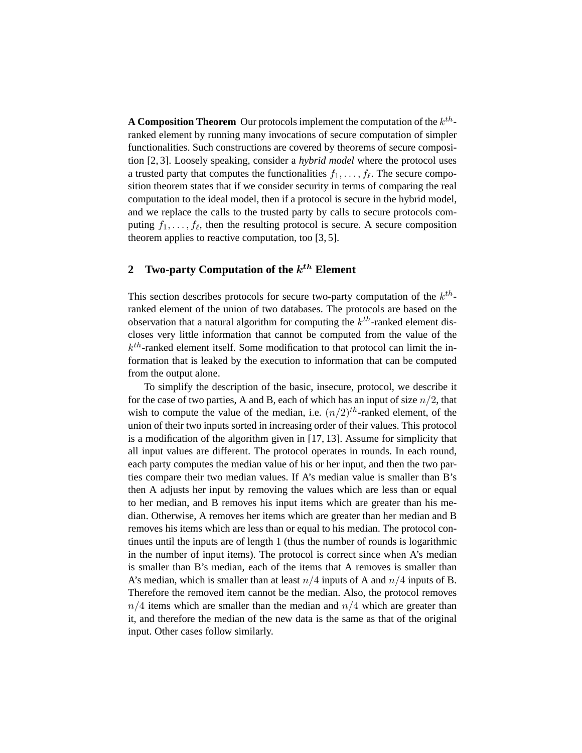**A Composition Theorem** Our protocols implement the computation of the  $k^{th}$ ranked element by running many invocations of secure computation of simpler functionalities. Such constructions are covered by theorems of secure composition [2, 3]. Loosely speaking, consider a *hybrid model* where the protocol uses a trusted party that computes the functionalities  $f_1, \ldots, f_\ell$ . The secure composition theorem states that if we consider security in terms of comparing the real computation to the ideal model, then if a protocol is secure in the hybrid model, and we replace the calls to the trusted party by calls to secure protocols computing  $f_1, \ldots, f_\ell$ , then the resulting protocol is secure. A secure composition theorem applies to reactive computation, too [3, 5].

# **2 Two-party Computation of the** k th **Element**

This section describes protocols for secure two-party computation of the  $k^{th}$ ranked element of the union of two databases. The protocols are based on the observation that a natural algorithm for computing the  $k^{th}$ -ranked element discloses very little information that cannot be computed from the value of the  $k^{th}$ -ranked element itself. Some modification to that protocol can limit the information that is leaked by the execution to information that can be computed from the output alone.

To simplify the description of the basic, insecure, protocol, we describe it for the case of two parties, A and B, each of which has an input of size  $n/2$ , that wish to compute the value of the median, i.e.  $(n/2)^{th}$ -ranked element, of the union of their two inputs sorted in increasing order of their values. This protocol is a modification of the algorithm given in [17, 13]. Assume for simplicity that all input values are different. The protocol operates in rounds. In each round, each party computes the median value of his or her input, and then the two parties compare their two median values. If A's median value is smaller than B's then A adjusts her input by removing the values which are less than or equal to her median, and B removes his input items which are greater than his median. Otherwise, A removes her items which are greater than her median and B removes his items which are less than or equal to his median. The protocol continues until the inputs are of length 1 (thus the number of rounds is logarithmic in the number of input items). The protocol is correct since when A's median is smaller than B's median, each of the items that A removes is smaller than A's median, which is smaller than at least  $n/4$  inputs of A and  $n/4$  inputs of B. Therefore the removed item cannot be the median. Also, the protocol removes  $n/4$  items which are smaller than the median and  $n/4$  which are greater than it, and therefore the median of the new data is the same as that of the original input. Other cases follow similarly.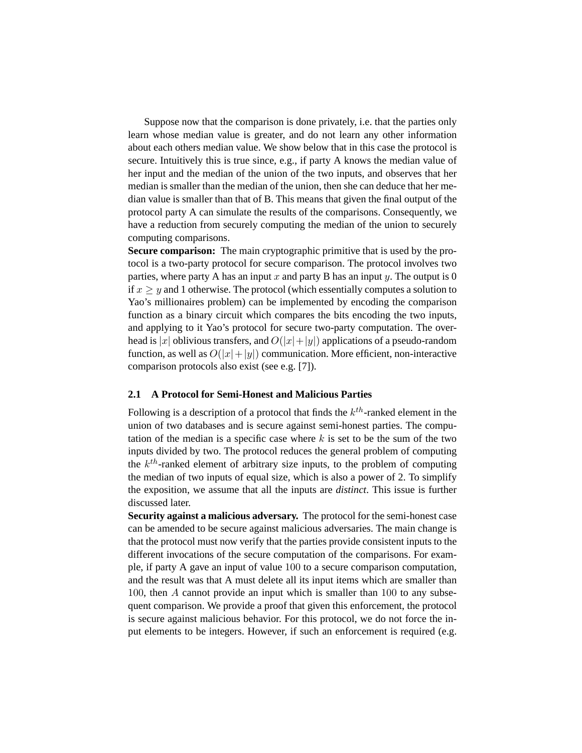Suppose now that the comparison is done privately, i.e. that the parties only learn whose median value is greater, and do not learn any other information about each others median value. We show below that in this case the protocol is secure. Intuitively this is true since, e.g., if party A knows the median value of her input and the median of the union of the two inputs, and observes that her median is smaller than the median of the union, then she can deduce that her median value is smaller than that of B. This means that given the final output of the protocol party A can simulate the results of the comparisons. Consequently, we have a reduction from securely computing the median of the union to securely computing comparisons.

**Secure comparison:** The main cryptographic primitive that is used by the protocol is a two-party protocol for secure comparison. The protocol involves two parties, where party A has an input  $x$  and party B has an input  $y$ . The output is 0 if  $x \geq y$  and 1 otherwise. The protocol (which essentially computes a solution to Yao's millionaires problem) can be implemented by encoding the comparison function as a binary circuit which compares the bits encoding the two inputs, and applying to it Yao's protocol for secure two-party computation. The overhead is |x| oblivious transfers, and  $O(|x|+|y|)$  applications of a pseudo-random function, as well as  $O(|x|+|y|)$  communication. More efficient, non-interactive comparison protocols also exist (see e.g. [7]).

## **2.1 A Protocol for Semi-Honest and Malicious Parties**

Following is a description of a protocol that finds the  $k^{th}$ -ranked element in the union of two databases and is secure against semi-honest parties. The computation of the median is a specific case where  $k$  is set to be the sum of the two inputs divided by two. The protocol reduces the general problem of computing the  $k^{th}$ -ranked element of arbitrary size inputs, to the problem of computing the median of two inputs of equal size, which is also a power of 2. To simplify the exposition, we assume that all the inputs are *distinct*. This issue is further discussed later.

**Security against a malicious adversary.** The protocol for the semi-honest case can be amended to be secure against malicious adversaries. The main change is that the protocol must now verify that the parties provide consistent inputs to the different invocations of the secure computation of the comparisons. For example, if party A gave an input of value 100 to a secure comparison computation, and the result was that A must delete all its input items which are smaller than 100, then A cannot provide an input which is smaller than 100 to any subsequent comparison. We provide a proof that given this enforcement, the protocol is secure against malicious behavior. For this protocol, we do not force the input elements to be integers. However, if such an enforcement is required (e.g.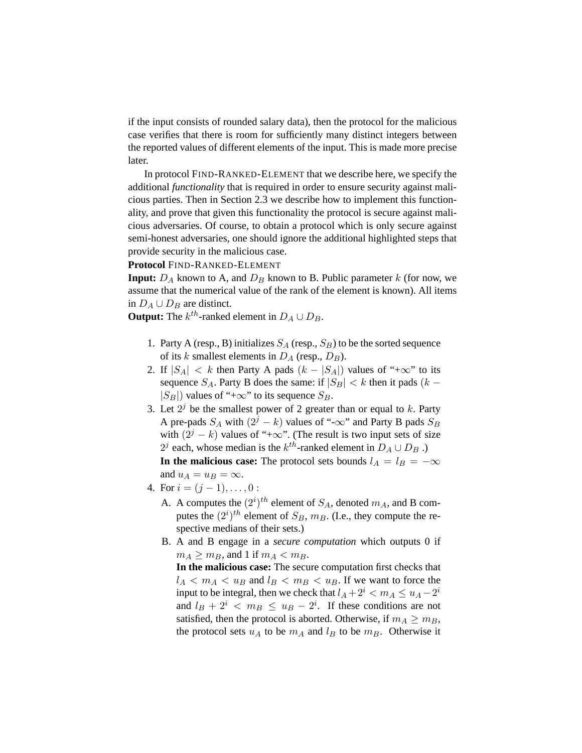if the input consists of rounded salary data), then the protocol for the malicious case verifies that there is room for sufficiently many distinct integers between the reported values of different elements of the input. This is made more precise later.

In protocol FIND-RANKED-ELEMENT that we describe here, we specify the additional *functionality* that is required in order to ensure security against malicious parties. Then in Section 2.3 we describe how to implement this functionality, and prove that given this functionality the protocol is secure against malicious adversaries. Of course, to obtain a protocol which is only secure against semi-honest adversaries, one should ignore the additional highlighted steps that provide security in the malicious case.

#### **Protocol** FIND-RANKED-ELEMENT

**Input:**  $D_A$  known to A, and  $D_B$  known to B. Public parameter  $k$  (for now, we assume that the numerical value of the rank of the element is known). All items in  $D_A \cup D_B$  are distinct.

**Output:** The  $k^{th}$ -ranked element in  $D_A \cup D_B$ .

- 1. Party A (resp., B) initializes  $S_A$  (resp.,  $S_B$ ) to be the sorted sequence of its k smallest elements in  $D_A$  (resp.,  $D_B$ ).
- 2. If  $|S_A| < k$  then Party A pads  $(k |S_A|)$  values of "+ $\infty$ " to its sequence  $S_A$ . Party B does the same: if  $|S_B| < k$  then it pads  $(k |S_B|$ ) values of "+∞" to its sequence  $S_B$ .
- 3. Let  $2^{j}$  be the smallest power of 2 greater than or equal to k. Party A pre-pads  $S_A$  with  $(2^{j} - k)$  values of "- $\infty$ " and Party B pads  $S_B$ with  $(2^{j} - k)$  values of "+∞". (The result is two input sets of size  $2^j$  each, whose median is the  $k^{th}$ -ranked element in  $D_A \cup D_B$ .)

**In the malicious case:** The protocol sets bounds  $l_A = l_B = -\infty$ and  $u_A = u_B = \infty$ .

- 4. For  $i = (j-1), \ldots, 0$ :
	- A. A computes the  $(2^i)^{th}$  element of  $S_A$ , denoted  $m_A$ , and B computes the  $(2^i)^{th}$  element of  $S_B$ ,  $m_B$ . (I.e., they compute the respective medians of their sets.)
	- B. A and B engage in a *secure computation* which outputs 0 if  $m_A \geq m_B$ , and 1 if  $m_A < m_B$ .

**In the malicious case:** The secure computation first checks that  $l_A < m_A < u_B$  and  $l_B < m_B < u_B$ . If we want to force the input to be integral, then we check that  $l_A + 2^i < m_A \le u_A - 2^i$ and  $l_B + 2^i$   $\lt m_B \leq u_B - 2^i$ . If these conditions are not satisfied, then the protocol is aborted. Otherwise, if  $m_A \ge m_B$ , the protocol sets  $u_A$  to be  $m_A$  and  $l_B$  to be  $m_B$ . Otherwise it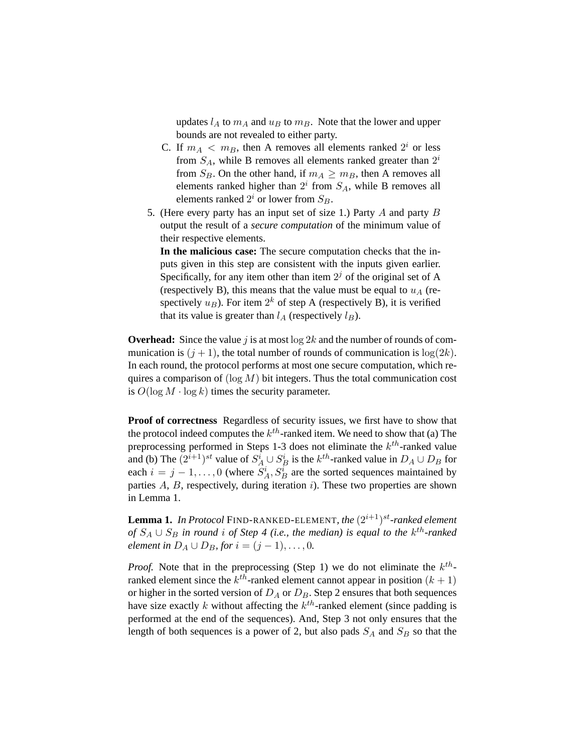updates  $l_A$  to  $m_A$  and  $u_B$  to  $m_B$ . Note that the lower and upper bounds are not revealed to either party.

- C. If  $m_A < m_B$ , then A removes all elements ranked  $2^i$  or less from  $S_A$ , while B removes all elements ranked greater than  $2^i$ from  $S_B$ . On the other hand, if  $m_A \geq m_B$ , then A removes all elements ranked higher than  $2^i$  from  $S_A$ , while B removes all elements ranked  $2^i$  or lower from  $S_B$ .
- 5. (Here every party has an input set of size 1.) Party A and party B output the result of a *secure computation* of the minimum value of their respective elements.

**In the malicious case:** The secure computation checks that the inputs given in this step are consistent with the inputs given earlier. Specifically, for any item other than item  $2<sup>j</sup>$  of the original set of A (respectively B), this means that the value must be equal to  $u_A$  (respectively  $u_B$ ). For item  $2^k$  of step A (respectively B), it is verified that its value is greater than  $l_A$  (respectively  $l_B$ ).

**Overhead:** Since the value  $j$  is at most  $\log 2k$  and the number of rounds of communication is  $(j + 1)$ , the total number of rounds of communication is  $log(2k)$ . In each round, the protocol performs at most one secure computation, which requires a comparison of  $(\log M)$  bit integers. Thus the total communication cost is  $O(\log M \cdot \log k)$  times the security parameter.

**Proof of correctness** Regardless of security issues, we first have to show that the protocol indeed computes the  $k^{th}$ -ranked item. We need to show that (a) The preprocessing performed in Steps 1-3 does not eliminate the  $k^{th}$ -ranked value and (b) The  $(2^{i+1})^{st}$  value of  $S_A^i \cup S_B^i$  is the  $k^{th}$ -ranked value in  $D_A \cup D_B$  for each  $i = j - 1, ..., 0$  (where  $\overline{S_A^i}, S_B^i$  are the sorted sequences maintained by parties  $A$ ,  $B$ , respectively, during iteration  $i$ ). These two properties are shown in Lemma 1.

**Lemma 1.** *In Protocol* FIND-RANKED-ELEMENT*, the* (2i+1) st*-ranked element*  $of S_A \cup S_B$  in round i of Step 4 (i.e., the median) is equal to the  $k^{th}$ -ranked *element in*  $D_A \cup D_B$ *, for*  $i = (j-1), \ldots, 0$ *.* 

*Proof.* Note that in the preprocessing (Step 1) we do not eliminate the  $k^{th}$ ranked element since the  $k^{th}$ -ranked element cannot appear in position  $(k + 1)$ or higher in the sorted version of  $D_A$  or  $D_B$ . Step 2 ensures that both sequences have size exactly k without affecting the  $k^{th}$ -ranked element (since padding is performed at the end of the sequences). And, Step 3 not only ensures that the length of both sequences is a power of 2, but also pads  $S_A$  and  $S_B$  so that the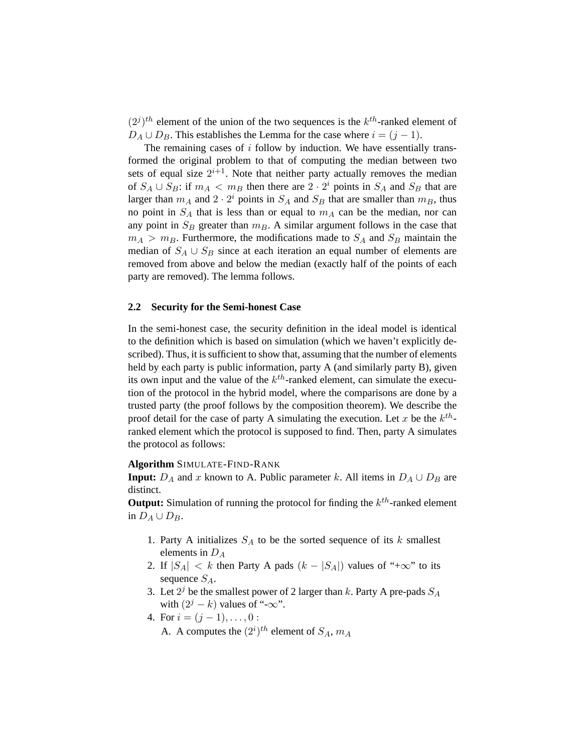$(2^{j})^{th}$  element of the union of the two sequences is the  $k^{th}$ -ranked element of  $D_A \cup D_B$ . This establishes the Lemma for the case where  $i = (j - 1)$ .

The remaining cases of  $i$  follow by induction. We have essentially transformed the original problem to that of computing the median between two sets of equal size  $2^{i+1}$ . Note that neither party actually removes the median of  $S_A \cup S_B$ : if  $m_A < m_B$  then there are  $2 \cdot 2^i$  points in  $S_A$  and  $S_B$  that are larger than  $m_A$  and  $2 \cdot 2^i$  points in  $S_A$  and  $S_B$  that are smaller than  $m_B$ , thus no point in  $S_A$  that is less than or equal to  $m_A$  can be the median, nor can any point in  $S_B$  greater than  $m_B$ . A similar argument follows in the case that  $m_A > m_B$ . Furthermore, the modifications made to  $S_A$  and  $S_B$  maintain the median of  $S_A \cup S_B$  since at each iteration an equal number of elements are removed from above and below the median (exactly half of the points of each party are removed). The lemma follows.

#### **2.2 Security for the Semi-honest Case**

In the semi-honest case, the security definition in the ideal model is identical to the definition which is based on simulation (which we haven't explicitly described). Thus, it is sufficient to show that, assuming that the number of elements held by each party is public information, party A (and similarly party B), given its own input and the value of the  $k^{th}$ -ranked element, can simulate the execution of the protocol in the hybrid model, where the comparisons are done by a trusted party (the proof follows by the composition theorem). We describe the proof detail for the case of party A simulating the execution. Let x be the  $k^{th}$ ranked element which the protocol is supposed to find. Then, party A simulates the protocol as follows:

#### **Algorithm** SIMULATE-FIND-RANK

**Input:**  $D_A$  and x known to A. Public parameter k. All items in  $D_A \cup D_B$  are distinct.

**Output:** Simulation of running the protocol for finding the  $k^{th}$ -ranked element in  $D_A \cup D_B$ .

- 1. Party A initializes  $S_A$  to be the sorted sequence of its k smallest elements in  $D_A$
- 2. If  $|S_A| < k$  then Party A pads  $(k |S_A|)$  values of "+∞" to its sequence  $S_A$ .
- 3. Let  $2^j$  be the smallest power of 2 larger than k. Party A pre-pads  $S_A$ with  $(2^{j} - k)$  values of "- $\infty$ ".
- 4. For  $i = (i-1), \ldots, 0$ :
	- A. A computes the  $(2^i)^{th}$  element of  $S_A$ ,  $m_A$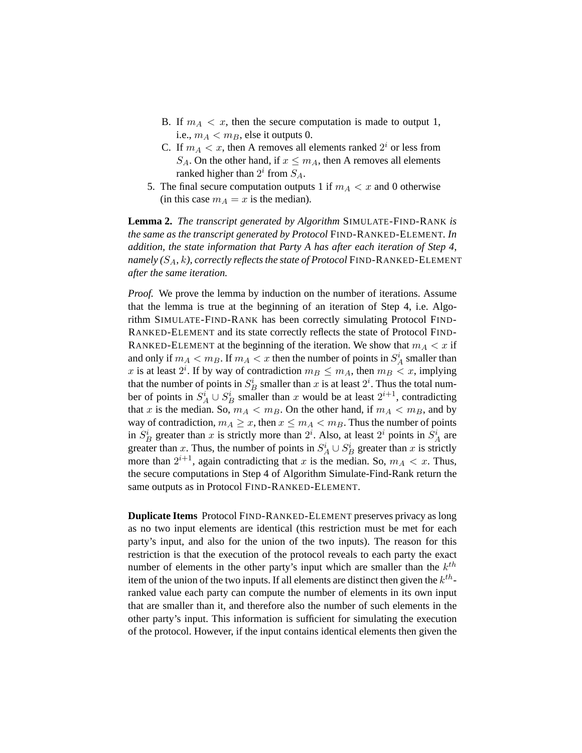- B. If  $m_A < x$ , then the secure computation is made to output 1, i.e.,  $m_A < m_B$ , else it outputs 0.
- C. If  $m_A < x$ , then A removes all elements ranked  $2<sup>i</sup>$  or less from  $S_A$ . On the other hand, if  $x \leq m_A$ , then A removes all elements ranked higher than  $2^i$  from  $S_A$ .
- 5. The final secure computation outputs 1 if  $m_A < x$  and 0 otherwise (in this case  $m_A = x$  is the median).

**Lemma 2.** *The transcript generated by Algorithm* SIMULATE-FIND-RANK *is the same as the transcript generated by Protocol* FIND-RANKED-ELEMENT*. In addition, the state information that Party A has after each iteration of Step 4, namely*  $(S_A, k)$ *, correctly reflects the state of Protocol FIND-RANKED-ELEMENT after the same iteration.*

*Proof.* We prove the lemma by induction on the number of iterations. Assume that the lemma is true at the beginning of an iteration of Step 4, i.e. Algorithm SIMULATE-FIND-RANK has been correctly simulating Protocol FIND-RANKED-ELEMENT and its state correctly reflects the state of Protocol FIND-RANKED-ELEMENT at the beginning of the iteration. We show that  $m_A < x$  if and only if  $m_A < m_B$ . If  $m_A < x$  then the number of points in  $S_A^i$  smaller than x is at least  $2^i$ . If by way of contradiction  $m_B \leq m_A$ , then  $m_B < x$ , implying that the number of points in  $S_B^i$  smaller than x is at least  $2^i$ . Thus the total number of points in  $S_A^i \cup S_B^i$  smaller than x would be at least  $2^{i+1}$ , contradicting that x is the median. So,  $m_A < m_B$ . On the other hand, if  $m_A < m_B$ , and by way of contradiction,  $m_A \ge x$ , then  $x \le m_A < m_B$ . Thus the number of points in  $S_B^i$  greater than x is strictly more than  $2^i$ . Also, at least  $2^i$  points in  $S_A^i$  are greater than x. Thus, the number of points in  $S_A^i \cup S_B^i$  greater than x is strictly more than  $2^{i+1}$ , again contradicting that x is the median. So,  $m_A < x$ . Thus, the secure computations in Step 4 of Algorithm Simulate-Find-Rank return the same outputs as in Protocol FIND-RANKED-ELEMENT.

**Duplicate Items** Protocol FIND-RANKED-ELEMENT preserves privacy as long as no two input elements are identical (this restriction must be met for each party's input, and also for the union of the two inputs). The reason for this restriction is that the execution of the protocol reveals to each party the exact number of elements in the other party's input which are smaller than the  $k^{th}$ item of the union of the two inputs. If all elements are distinct then given the  $k^{th}$ ranked value each party can compute the number of elements in its own input that are smaller than it, and therefore also the number of such elements in the other party's input. This information is sufficient for simulating the execution of the protocol. However, if the input contains identical elements then given the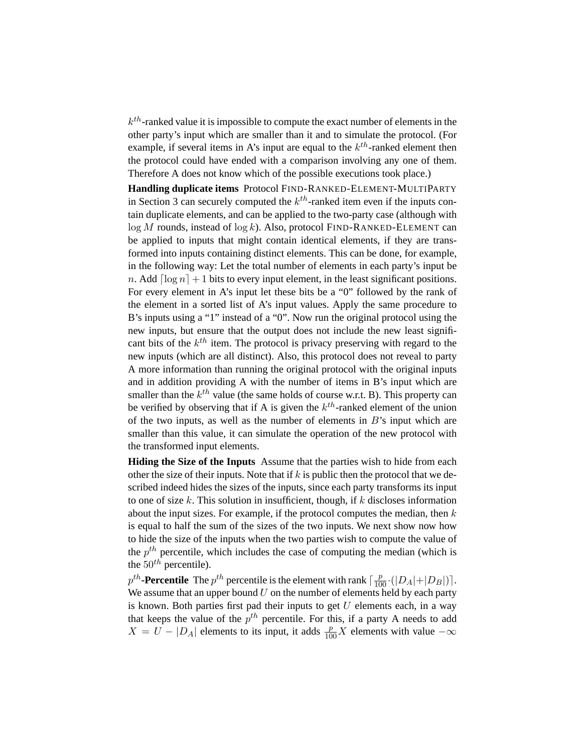$k^{th}$ -ranked value it is impossible to compute the exact number of elements in the other party's input which are smaller than it and to simulate the protocol. (For example, if several items in A's input are equal to the  $k^{th}$ -ranked element then the protocol could have ended with a comparison involving any one of them. Therefore A does not know which of the possible executions took place.)

**Handling duplicate items** Protocol FIND-RANKED-ELEMENT-MULTIPARTY in Section 3 can securely computed the  $k^{th}$ -ranked item even if the inputs contain duplicate elements, and can be applied to the two-party case (although with  $log M$  rounds, instead of  $log k$ ). Also, protocol FIND-RANKED-ELEMENT can be applied to inputs that might contain identical elements, if they are transformed into inputs containing distinct elements. This can be done, for example, in the following way: Let the total number of elements in each party's input be n. Add  $\lceil \log n \rceil + 1$  bits to every input element, in the least significant positions. For every element in A's input let these bits be a "0" followed by the rank of the element in a sorted list of A's input values. Apply the same procedure to B's inputs using a "1" instead of a "0". Now run the original protocol using the new inputs, but ensure that the output does not include the new least significant bits of the  $k^{th}$  item. The protocol is privacy preserving with regard to the new inputs (which are all distinct). Also, this protocol does not reveal to party A more information than running the original protocol with the original inputs and in addition providing A with the number of items in B's input which are smaller than the  $k^{th}$  value (the same holds of course w.r.t. B). This property can be verified by observing that if A is given the  $k^{th}$ -ranked element of the union of the two inputs, as well as the number of elements in  $B$ 's input which are smaller than this value, it can simulate the operation of the new protocol with the transformed input elements.

**Hiding the Size of the Inputs** Assume that the parties wish to hide from each other the size of their inputs. Note that if  $k$  is public then the protocol that we described indeed hides the sizes of the inputs, since each party transforms its input to one of size  $k$ . This solution in insufficient, though, if  $k$  discloses information about the input sizes. For example, if the protocol computes the median, then  $k$ is equal to half the sum of the sizes of the two inputs. We next show now how to hide the size of the inputs when the two parties wish to compute the value of the  $p^{th}$  percentile, which includes the case of computing the median (which is the  $50^{th}$  percentile).

 $p^{th}$ **-Percentile** The  $p^{th}$  percentile is the element with rank  $\lceil \frac{p}{100} \cdot (|D_A| + |D_B|) \rceil$ . We assume that an upper bound  $U$  on the number of elements held by each party is known. Both parties first pad their inputs to get  $U$  elements each, in a way that keeps the value of the  $p^{th}$  percentile. For this, if a party A needs to add  $X = \overline{U} - |D_A|$  elements to its input, it adds  $\frac{p}{100}X$  elements with value  $-\infty$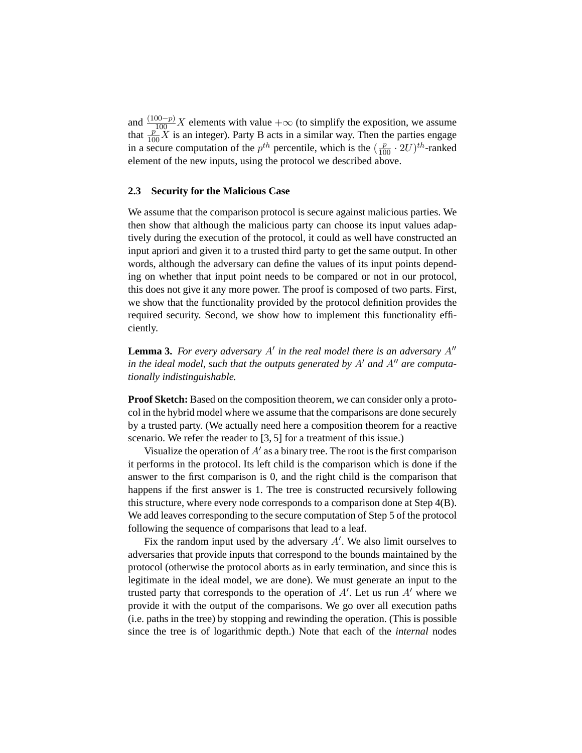and  $\frac{(100-p)}{100}X$  elements with value  $+\infty$  (to simplify the exposition, we assume that  $\frac{p}{100}X$  is an integer). Party B acts in a similar way. Then the parties engage in a secure computation of the  $p^{th}$  percentile, which is the  $(\frac{p}{100} \cdot 2U)^{th}$ -ranked element of the new inputs, using the protocol we described above.

## **2.3 Security for the Malicious Case**

We assume that the comparison protocol is secure against malicious parties. We then show that although the malicious party can choose its input values adaptively during the execution of the protocol, it could as well have constructed an input apriori and given it to a trusted third party to get the same output. In other words, although the adversary can define the values of its input points depending on whether that input point needs to be compared or not in our protocol, this does not give it any more power. The proof is composed of two parts. First, we show that the functionality provided by the protocol definition provides the required security. Second, we show how to implement this functionality efficiently.

**Lemma 3.** For every adversary  $A'$  in the real model there is an adversary  $A''$  $\dot{a}$  in the ideal model, such that the outputs generated by  $A'$  and  $A''$  are computa*tionally indistinguishable.*

**Proof Sketch:** Based on the composition theorem, we can consider only a protocol in the hybrid model where we assume that the comparisons are done securely by a trusted party. (We actually need here a composition theorem for a reactive scenario. We refer the reader to [3, 5] for a treatment of this issue.)

Visualize the operation of  $A'$  as a binary tree. The root is the first comparison it performs in the protocol. Its left child is the comparison which is done if the answer to the first comparison is 0, and the right child is the comparison that happens if the first answer is 1. The tree is constructed recursively following this structure, where every node corresponds to a comparison done at Step 4(B). We add leaves corresponding to the secure computation of Step 5 of the protocol following the sequence of comparisons that lead to a leaf.

Fix the random input used by the adversary  $A'$ . We also limit ourselves to adversaries that provide inputs that correspond to the bounds maintained by the protocol (otherwise the protocol aborts as in early termination, and since this is legitimate in the ideal model, we are done). We must generate an input to the trusted party that corresponds to the operation of  $A'$ . Let us run  $A'$  where we provide it with the output of the comparisons. We go over all execution paths (i.e. paths in the tree) by stopping and rewinding the operation. (This is possible since the tree is of logarithmic depth.) Note that each of the *internal* nodes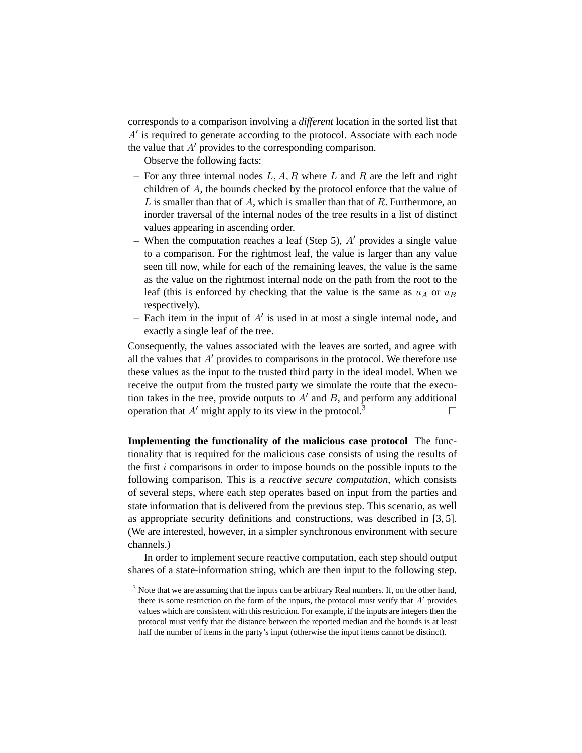corresponds to a comparison involving a *different* location in the sorted list that  $A'$  is required to generate according to the protocol. Associate with each node the value that  $A'$  provides to the corresponding comparison.

Observe the following facts:

- For any three internal nodes  $L, A, R$  where L and R are the left and right children of A, the bounds checked by the protocol enforce that the value of L is smaller than that of A, which is smaller than that of  $R$ . Furthermore, an inorder traversal of the internal nodes of the tree results in a list of distinct values appearing in ascending order.
- When the computation reaches a leaf (Step 5),  $A'$  provides a single value to a comparison. For the rightmost leaf, the value is larger than any value seen till now, while for each of the remaining leaves, the value is the same as the value on the rightmost internal node on the path from the root to the leaf (this is enforced by checking that the value is the same as  $u_A$  or  $u_B$ respectively).
- Each item in the input of  $A'$  is used in at most a single internal node, and exactly a single leaf of the tree.

Consequently, the values associated with the leaves are sorted, and agree with all the values that  $A'$  provides to comparisons in the protocol. We therefore use these values as the input to the trusted third party in the ideal model. When we receive the output from the trusted party we simulate the route that the execution takes in the tree, provide outputs to  $A'$  and  $B$ , and perform any additional operation that A' might apply to its view in the protocol.<sup>3</sup>

**Implementing the functionality of the malicious case protocol** The functionality that is required for the malicious case consists of using the results of the first i comparisons in order to impose bounds on the possible inputs to the following comparison. This is a *reactive secure computation*, which consists of several steps, where each step operates based on input from the parties and state information that is delivered from the previous step. This scenario, as well as appropriate security definitions and constructions, was described in [3, 5]. (We are interested, however, in a simpler synchronous environment with secure channels.)

In order to implement secure reactive computation, each step should output shares of a state-information string, which are then input to the following step.

<sup>&</sup>lt;sup>3</sup> Note that we are assuming that the inputs can be arbitrary Real numbers. If, on the other hand, there is some restriction on the form of the inputs, the protocol must verify that  $A'$  provides values which are consistent with this restriction. For example, if the inputs are integers then the protocol must verify that the distance between the reported median and the bounds is at least half the number of items in the party's input (otherwise the input items cannot be distinct).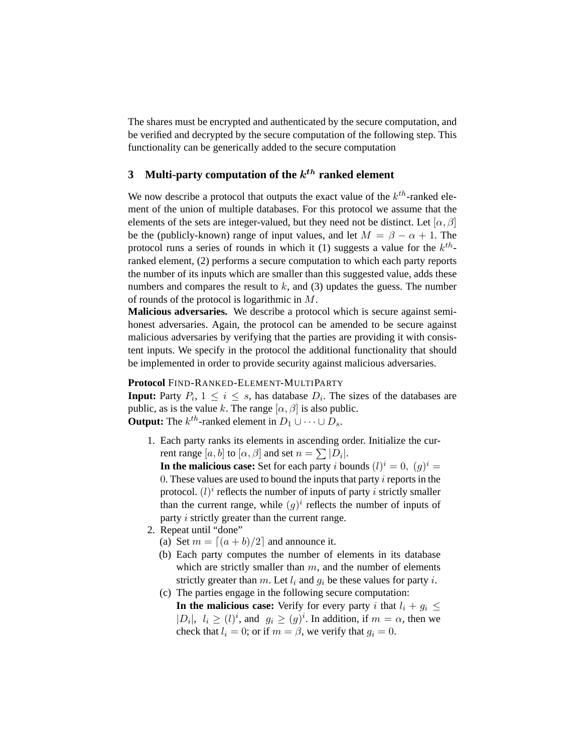The shares must be encrypted and authenticated by the secure computation, and be verified and decrypted by the secure computation of the following step. This functionality can be generically added to the secure computation

# **3** Multi-party computation of the  $k^{th}$  ranked element

We now describe a protocol that outputs the exact value of the  $k^{th}$ -ranked element of the union of multiple databases. For this protocol we assume that the elements of the sets are integer-valued, but they need not be distinct. Let  $[\alpha, \beta]$ be the (publicly-known) range of input values, and let  $M = \beta - \alpha + 1$ . The protocol runs a series of rounds in which it (1) suggests a value for the  $k^{th}$ ranked element, (2) performs a secure computation to which each party reports the number of its inputs which are smaller than this suggested value, adds these numbers and compares the result to  $k$ , and (3) updates the guess. The number of rounds of the protocol is logarithmic in M.

**Malicious adversaries.** We describe a protocol which is secure against semihonest adversaries. Again, the protocol can be amended to be secure against malicious adversaries by verifying that the parties are providing it with consistent inputs. We specify in the protocol the additional functionality that should be implemented in order to provide security against malicious adversaries.

## **Protocol** FIND-RANKED-ELEMENT-MULTIPARTY

**Input:** Party  $P_i$ ,  $1 \leq i \leq s$ , has database  $D_i$ . The sizes of the databases are public, as is the value k. The range  $[\alpha, \beta]$  is also public. **Output:** The  $k^{th}$ -ranked element in  $D_1 \cup \cdots \cup D_s$ .

1. Each party ranks its elements in ascending order. Initialize the cur-Each party ranks its elements in ascending of<br>rent range  $[a, b]$  to  $[\alpha, \beta]$  and set  $n = \sum |D_i|$ .

**In the malicious case:** Set for each party i bounds  $(l)^i = 0$ ,  $(g)^i =$ 0. These values are used to bound the inputs that party  $i$  reports in the protocol.  $(l)^i$  reflects the number of inputs of party i strictly smaller than the current range, while  $(g)^i$  reflects the number of inputs of party i strictly greater than the current range.

- 2. Repeat until "done"
	- (a) Set  $m = \lfloor (a + b)/2 \rfloor$  and announce it.
	- (b) Each party computes the number of elements in its database which are strictly smaller than  $m$ , and the number of elements strictly greater than m. Let  $l_i$  and  $g_i$  be these values for party i. (c) The parties engage in the following secure computation:
	- **In the malicious case:** Verify for every party i that  $l_i + g_i \leq$  $|D_i|, l_i \geq (l)^i$ , and  $g_i \geq (g)^i$ . In addition, if  $m = \alpha$ , then we check that  $l_i = 0$ ; or if  $m = \beta$ , we verify that  $g_i = 0$ .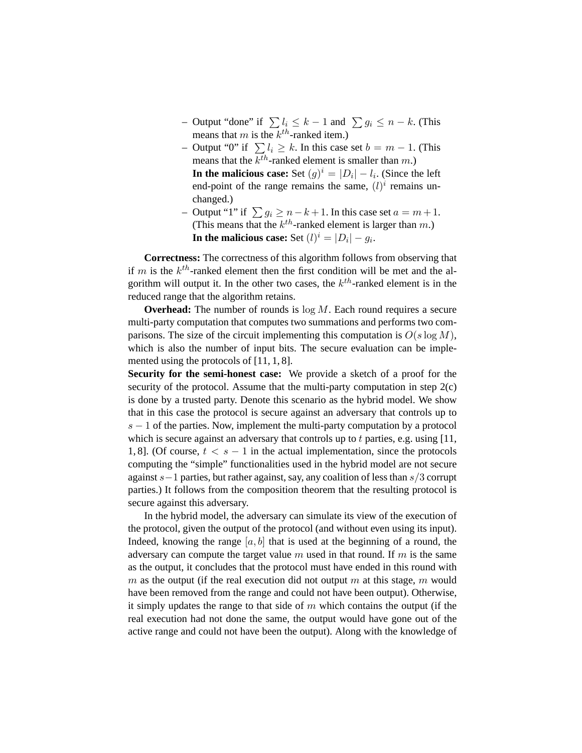- Output "done" if  $\sum l_i \le k 1$  and  $\sum g_i \le n k$ . (This means that m is the  $k^{th}$ -ranked item.)
- Output "0" if  $\sum l_i \ge k$ . In this case set  $b = m 1$ . (This means that the  $k^{th}$ -ranked element is smaller than m.) **In the malicious case:** Set  $(g)^i = |D_i| - l_i$ . (Since the left end-point of the range remains the same,  $(l)^i$  remains unchanged.)
- Output "1" if  $\sum g_i \ge n k + 1$ . In this case set  $a = m + 1$ . (This means that the  $k^{th}$ -ranked element is larger than m.) **In the malicious case:** Set  $(l)^i = |D_i| - g_i$ .

**Correctness:** The correctness of this algorithm follows from observing that if m is the  $k^{th}$ -ranked element then the first condition will be met and the algorithm will output it. In the other two cases, the  $k^{th}$ -ranked element is in the reduced range that the algorithm retains.

**Overhead:** The number of rounds is  $\log M$ . Each round requires a secure multi-party computation that computes two summations and performs two comparisons. The size of the circuit implementing this computation is  $O(s \log M)$ , which is also the number of input bits. The secure evaluation can be implemented using the protocols of [11, 1, 8].

**Security for the semi-honest case:** We provide a sketch of a proof for the security of the protocol. Assume that the multi-party computation in step  $2(c)$ is done by a trusted party. Denote this scenario as the hybrid model. We show that in this case the protocol is secure against an adversary that controls up to  $s - 1$  of the parties. Now, implement the multi-party computation by a protocol which is secure against an adversary that controls up to  $t$  parties, e.g. using [11, 1, 8]. (Of course,  $t < s - 1$  in the actual implementation, since the protocols computing the "simple" functionalities used in the hybrid model are not secure against s−1 parties, but rather against, say, any coalition of less than s/3 corrupt parties.) It follows from the composition theorem that the resulting protocol is secure against this adversary.

In the hybrid model, the adversary can simulate its view of the execution of the protocol, given the output of the protocol (and without even using its input). Indeed, knowing the range  $[a, b]$  that is used at the beginning of a round, the adversary can compute the target value  $m$  used in that round. If  $m$  is the same as the output, it concludes that the protocol must have ended in this round with m as the output (if the real execution did not output m at this stage, m would have been removed from the range and could not have been output). Otherwise, it simply updates the range to that side of  $m$  which contains the output (if the real execution had not done the same, the output would have gone out of the active range and could not have been the output). Along with the knowledge of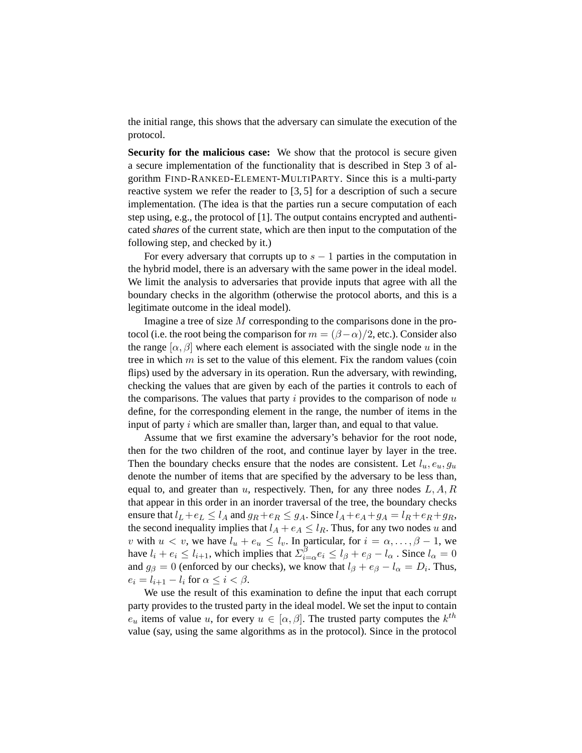the initial range, this shows that the adversary can simulate the execution of the protocol.

**Security for the malicious case:** We show that the protocol is secure given a secure implementation of the functionality that is described in Step 3 of algorithm FIND-RANKED-ELEMENT-MULTIPARTY. Since this is a multi-party reactive system we refer the reader to [3, 5] for a description of such a secure implementation. (The idea is that the parties run a secure computation of each step using, e.g., the protocol of [1]. The output contains encrypted and authenticated *shares* of the current state, which are then input to the computation of the following step, and checked by it.)

For every adversary that corrupts up to  $s - 1$  parties in the computation in the hybrid model, there is an adversary with the same power in the ideal model. We limit the analysis to adversaries that provide inputs that agree with all the boundary checks in the algorithm (otherwise the protocol aborts, and this is a legitimate outcome in the ideal model).

Imagine a tree of size M corresponding to the comparisons done in the protocol (i.e. the root being the comparison for  $m = (\beta - \alpha)/2$ , etc.). Consider also the range  $[\alpha, \beta]$  where each element is associated with the single node u in the tree in which  $m$  is set to the value of this element. Fix the random values (coin flips) used by the adversary in its operation. Run the adversary, with rewinding, checking the values that are given by each of the parties it controls to each of the comparisons. The values that party  $i$  provides to the comparison of node  $u$ define, for the corresponding element in the range, the number of items in the input of party i which are smaller than, larger than, and equal to that value.

Assume that we first examine the adversary's behavior for the root node, then for the two children of the root, and continue layer by layer in the tree. Then the boundary checks ensure that the nodes are consistent. Let  $l_u, e_u, g_u$ denote the number of items that are specified by the adversary to be less than, equal to, and greater than u, respectively. Then, for any three nodes  $L, A, R$ that appear in this order in an inorder traversal of the tree, the boundary checks ensure that  $l_L+e_L \leq l_A$  and  $g_R+e_R \leq g_A$ . Since  $l_A+e_A+g_A = l_R+e_R+g_R$ , the second inequality implies that  $l_A + e_A \leq l_R$ . Thus, for any two nodes u and v with  $u < v$ , we have  $l_u + e_u \leq l_v$ . In particular, for  $i = \alpha, \dots, \beta - 1$ , we have  $l_i + e_i \leq l_{i+1}$ , which implies that  $\sum_{i=1}^{\beta}$  $\sum_{i=\alpha}^{\beta} e_i \leq l_{\beta} + e_{\beta} - l_{\alpha}$  . Since  $l_{\alpha} = 0$ and  $g_{\beta} = 0$  (enforced by our checks), we know that  $l_{\beta} + e_{\beta} - l_{\alpha} = D_i$ . Thus,  $e_i = l_{i+1} - l_i$  for  $\alpha \leq i < \beta$ .

We use the result of this examination to define the input that each corrupt party provides to the trusted party in the ideal model. We set the input to contain  $e_u$  items of value u, for every  $u \in [\alpha, \beta]$ . The trusted party computes the  $k^{th}$ value (say, using the same algorithms as in the protocol). Since in the protocol